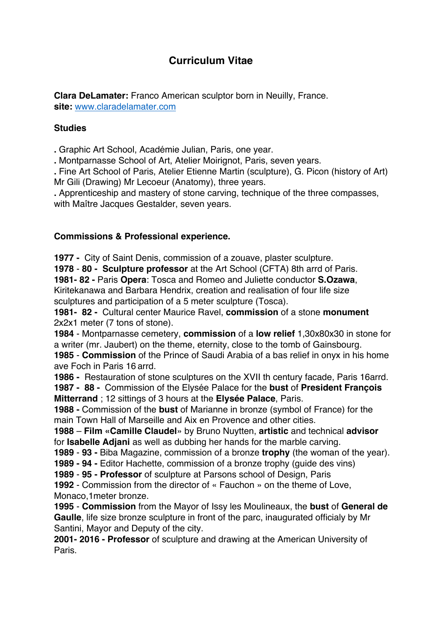# **Curriculum Vitae**

**Clara DeLamater:** Franco American sculptor born in Neuilly, France. **site:** www.claradelamater.com

## **Studies**

**.** Graphic Art School, Académie Julian, Paris, one year.

**.** Montparnasse School of Art, Atelier Moirignot, Paris, seven years.

**.** Fine Art School of Paris, Atelier Etienne Martin (sculpture), G. Picon (history of Art) Mr Gili (Drawing) Mr Lecoeur (Anatomy), three years.

**.** Apprenticeship and mastery of stone carving, technique of the three compasses, with Maître Jacques Gestalder, seven years.

## **Commissions & Professional experience.**

**1977 -** City of Saint Denis, commission of a zouave, plaster sculpture.

**1978** - **80 - Sculpture professor** at the Art School (CFTA) 8th arrd of Paris. **1981- 82 -** Paris **Opera**: Tosca and Romeo and Juliette conductor **S.Ozawa**, Kiritekanawa and Barbara Hendrix, creation and realisation of four life size sculptures and participation of a 5 meter sculpture (Tosca).

**1981- 82 -** Cultural center Maurice Ravel, **commission** of a stone **monument** 2x2x1 meter (7 tons of stone).

**1984** - Montparnasse cemetery, **commission** of a **low relief** 1,30x80x30 in stone for a writer (mr. Jaubert) on the theme, eternity, close to the tomb of Gainsbourg.

**1985** - **Commission** of the Prince of Saudi Arabia of a bas relief in onyx in his home ave Foch in Paris 16 arrd.

**1986 -** Restauration of stone sculptures on the XVII th century facade, Paris 16arrd. **1987 - 88 -** Commission of the Elysée Palace for the **bust** of **President François** 

**Mitterrand** ; 12 sittings of 3 hours at the **Elysée Palace**, Paris.

**1988 -** Commission of the **bust** of Marianne in bronze (symbol of France) for the main Town Hall of Marseille and Aix en Provence and other cities.

**1988** – **Film «Camille Claudel**» by Bruno Nuytten, **artistic** and technical **advisor**  for **Isabelle Adjani** as well as dubbing her hands for the marble carving.

**1989** - **93 -** Biba Magazine, commission of a bronze **trophy** (the woman of the year).

**1989 - 94 -** Editor Hachette, commission of a bronze trophy (guide des vins)

**1989** - **95 - Professor** of sculpture at Parsons school of Design, Paris

**1992** - Commission from the director of « Fauchon » on the theme of Love, Monaco,1meter bronze.

**1995** - **Commission** from the Mayor of Issy les Moulineaux, the **bust** of **General de Gaulle**, life size bronze sculpture in front of the parc, inaugurated officialy by Mr Santini, Mayor and Deputy of the city.

**2001- 2016 - Professor** of sculpture and drawing at the American University of Paris.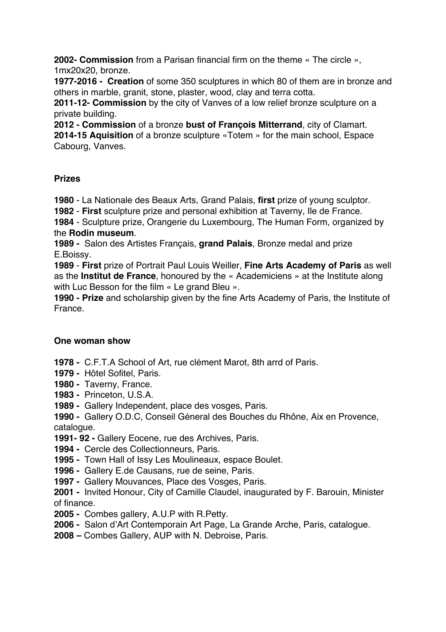**2002- Commission** from a Parisan financial firm on the theme « The circle », 1mx20x20, bronze.

**1977-2016 - Creation** of some 350 sculptures in which 80 of them are in bronze and others in marble, granit, stone, plaster, wood, clay and terra cotta.

**2011-12- Commission** by the city of Vanves of a low relief bronze sculpture on a private building.

**2012 - Commission** of a bronze **bust of François Mitterrand**, city of Clamart. **2014-15 Aquisition** of a bronze sculpture «Totem » for the main school, Espace Cabourg, Vanves.

## **Prizes**

**1980** - La Nationale des Beaux Arts, Grand Palais, **first** prize of young sculptor.

**1982** - **First** sculpture prize and personal exhibition at Taverny, Ile de France.

**1984** - Sculpture prize, Orangerie du Luxembourg, The Human Form, organized by the **Rodin museum**.

**1989 -** Salon des Artistes Français, **grand Palais**, Bronze medal and prize E.Boissy.

**1989** - **First** prize of Portrait Paul Louis Weiller, **Fine Arts Academy of Paris** as well as the **Institut de France**, honoured by the « Academiciens » at the Institute along with Luc Besson for the film « Le grand Bleu ».

**1990 - Prize** and scholarship given by the fine Arts Academy of Paris, the Institute of France.

## **One woman show**

**1978 -** C.F.T.A School of Art, rue clément Marot, 8th arrd of Paris.

- **1979** Hôtel Sofitel, Paris.
- **1980** Taverny, France.
- **1983** Princeton, U.S.A.
- **1989** Gallery Independent, place des vosges, Paris.

**1990 -** Gallery O.D.C, Conseil Géneral des Bouches du Rhône, Aix en Provence, catalogue.

- **1991- 92 -** Gallery Eocene, rue des Archives, Paris.
- **1994** Cercle des Collectionneurs, Paris.
- **1995 -** Town Hall of Issy Les Moulineaux, espace Boulet.
- **1996** Gallery E.de Causans, rue de seine, Paris.
- **1997 -** Gallery Mouvances, Place des Vosges, Paris.
- **2001 -** Invited Honour, City of Camille Claudel, inaugurated by F. Barouin, Minister of finance.
- **2005** Combes gallery, A.U.P with R.Petty.
- **2006** Salon d'Art Contemporain Art Page, La Grande Arche, Paris, catalogue.
- **2008 –** Combes Gallery, AUP with N. Debroise, Paris.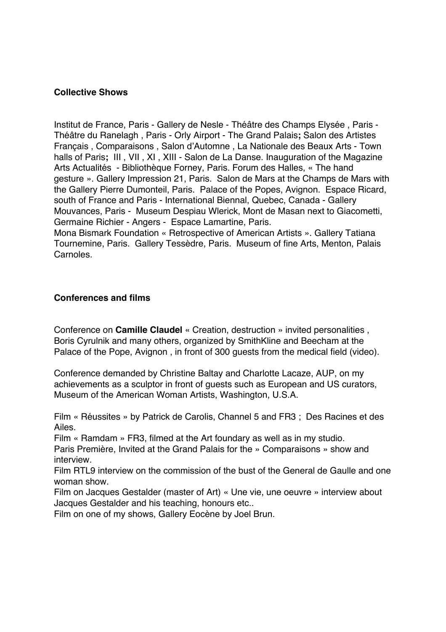## **Collective Shows**

Institut de France, Paris - Gallery de Nesle - Théâtre des Champs Elysée , Paris - Théâtre du Ranelagh , Paris - Orly Airport - The Grand Palais**;** Salon des Artistes Français , Comparaisons , Salon d'Automne , La Nationale des Beaux Arts - Town halls of Paris**;** III , VII , XI , XIII - Salon de La Danse. Inauguration of the Magazine Arts Actualités - Bibliothèque Forney, Paris. Forum des Halles, « The hand gesture ». Gallery Impression 21, Paris. Salon de Mars at the Champs de Mars with the Gallery Pierre Dumonteil, Paris. Palace of the Popes, Avignon. Espace Ricard, south of France and Paris - International Biennal, Quebec, Canada - Gallery Mouvances, Paris - Museum Despiau Wlerick, Mont de Masan next to Giacometti, Germaine Richier - Angers - Espace Lamartine, Paris. Mona Bismark Foundation « Retrospective of American Artists ». Gallery Tatiana

Tournemine, Paris. Gallery Tessèdre, Paris. Museum of fine Arts, Menton, Palais Carnoles.

## **Conferences and films**

Conference on **Camille Claudel** « Creation, destruction » invited personalities , Boris Cyrulnik and many others, organized by SmithKline and Beecham at the Palace of the Pope, Avignon , in front of 300 guests from the medical field (video).

Conference demanded by Christine Baltay and Charlotte Lacaze, AUP, on my achievements as a sculptor in front of guests such as European and US curators, Museum of the American Woman Artists, Washington, U.S.A.

Film « Réussites » by Patrick de Carolis, Channel 5 and FR3 ; Des Racines et des Ailes.

Film « Ramdam » FR3, filmed at the Art foundary as well as in my studio.

Paris Première, Invited at the Grand Palais for the » Comparaisons » show and interview.

Film RTL9 interview on the commission of the bust of the General de Gaulle and one woman show.

Film on Jacques Gestalder (master of Art) « Une vie, une oeuvre » interview about Jacques Gestalder and his teaching, honours etc..

Film on one of my shows, Gallery Eocène by Joel Brun.